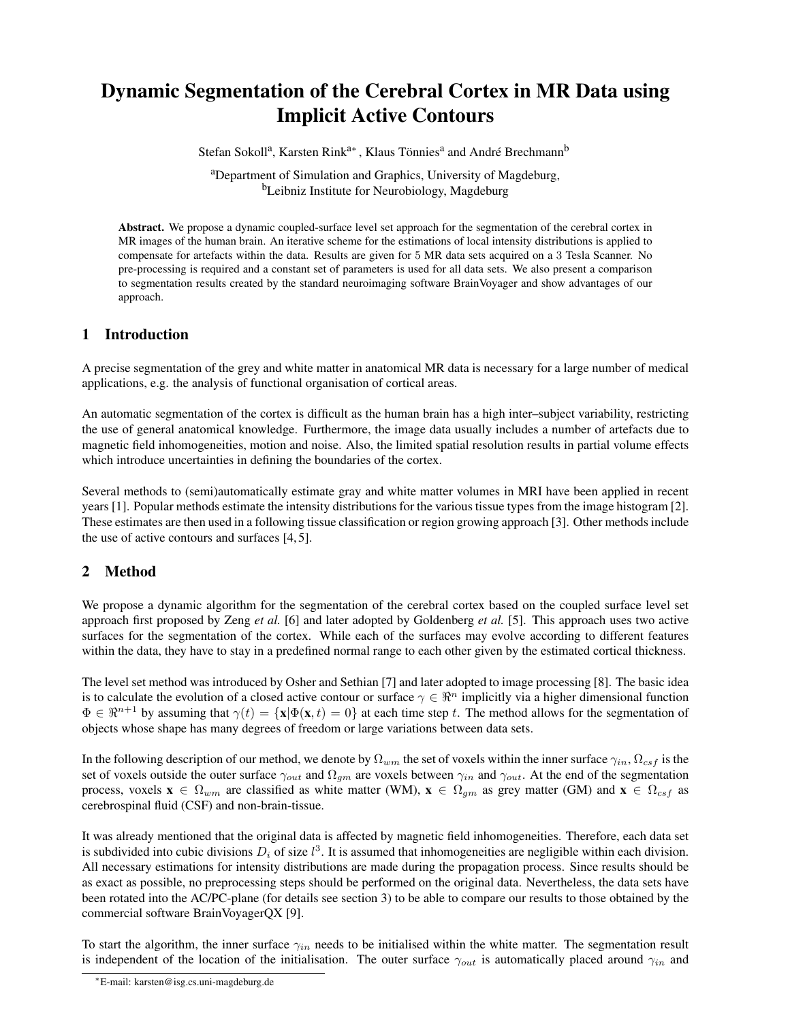# Dynamic Segmentation of the Cerebral Cortex in MR Data using Implicit Active Contours

Stefan Sokoll<sup>a</sup>, Karsten Rink<sup>a∗</sup>, Klaus Tönnies<sup>a</sup> and André Brechmann<sup>b</sup>

<sup>a</sup>Department of Simulation and Graphics, University of Magdeburg, <sup>b</sup>Leibniz Institute for Neurobiology, Magdeburg

Abstract. We propose a dynamic coupled-surface level set approach for the segmentation of the cerebral cortex in MR images of the human brain. An iterative scheme for the estimations of local intensity distributions is applied to compensate for artefacts within the data. Results are given for 5 MR data sets acquired on a 3 Tesla Scanner. No pre-processing is required and a constant set of parameters is used for all data sets. We also present a comparison to segmentation results created by the standard neuroimaging software BrainVoyager and show advantages of our approach.

## 1 Introduction

A precise segmentation of the grey and white matter in anatomical MR data is necessary for a large number of medical applications, e.g. the analysis of functional organisation of cortical areas.

An automatic segmentation of the cortex is difficult as the human brain has a high inter–subject variability, restricting the use of general anatomical knowledge. Furthermore, the image data usually includes a number of artefacts due to magnetic field inhomogeneities, motion and noise. Also, the limited spatial resolution results in partial volume effects which introduce uncertainties in defining the boundaries of the cortex.

Several methods to (semi)automatically estimate gray and white matter volumes in MRI have been applied in recent years [1]. Popular methods estimate the intensity distributions for the various tissue types from the image histogram [2]. These estimates are then used in a following tissue classification or region growing approach [3]. Other methods include the use of active contours and surfaces [4, 5].

## 2 Method

We propose a dynamic algorithm for the segmentation of the cerebral cortex based on the coupled surface level set approach first proposed by Zeng *et al.* [6] and later adopted by Goldenberg *et al.* [5]. This approach uses two active surfaces for the segmentation of the cortex. While each of the surfaces may evolve according to different features within the data, they have to stay in a predefined normal range to each other given by the estimated cortical thickness.

The level set method was introduced by Osher and Sethian [7] and later adopted to image processing [8]. The basic idea is to calculate the evolution of a closed active contour or surface  $\gamma \in \mathbb{R}^n$  implicitly via a higher dimensional function  $\Phi \in \mathbb{R}^{n+1}$  by assuming that  $\gamma(t) = {\mathbf{x}|\Phi(\mathbf{x}, t) = 0}$  at each time step t. The method allows for the segmentation of objects whose shape has many degrees of freedom or large variations between data sets.

In the following description of our method, we denote by  $\Omega_{wm}$  the set of voxels within the inner surface  $\gamma_{in}$ ,  $\Omega_{csf}$  is the set of voxels outside the outer surface  $\gamma_{out}$  and  $\Omega_{gm}$  are voxels between  $\gamma_{in}$  and  $\gamma_{out}$ . At the end of the segmentation process, voxels  $\mathbf{x} \in \Omega_{wm}$  are classified as white matter (WM),  $\mathbf{x} \in \Omega_{gm}$  as grey matter (GM) and  $\mathbf{x} \in \Omega_{csf}$  as cerebrospinal fluid (CSF) and non-brain-tissue.

It was already mentioned that the original data is affected by magnetic field inhomogeneities. Therefore, each data set is subdivided into cubic divisions  $D_i$  of size  $l^3$ . It is assumed that inhomogeneities are negligible within each division. All necessary estimations for intensity distributions are made during the propagation process. Since results should be as exact as possible, no preprocessing steps should be performed on the original data. Nevertheless, the data sets have been rotated into the AC/PC-plane (for details see section 3) to be able to compare our results to those obtained by the commercial software BrainVoyagerQX [9].

To start the algorithm, the inner surface  $\gamma_{in}$  needs to be initialised within the white matter. The segmentation result is independent of the location of the initialisation. The outer surface  $\gamma_{out}$  is automatically placed around  $\gamma_{in}$  and

<sup>∗</sup>E-mail: karsten@isg.cs.uni-magdeburg.de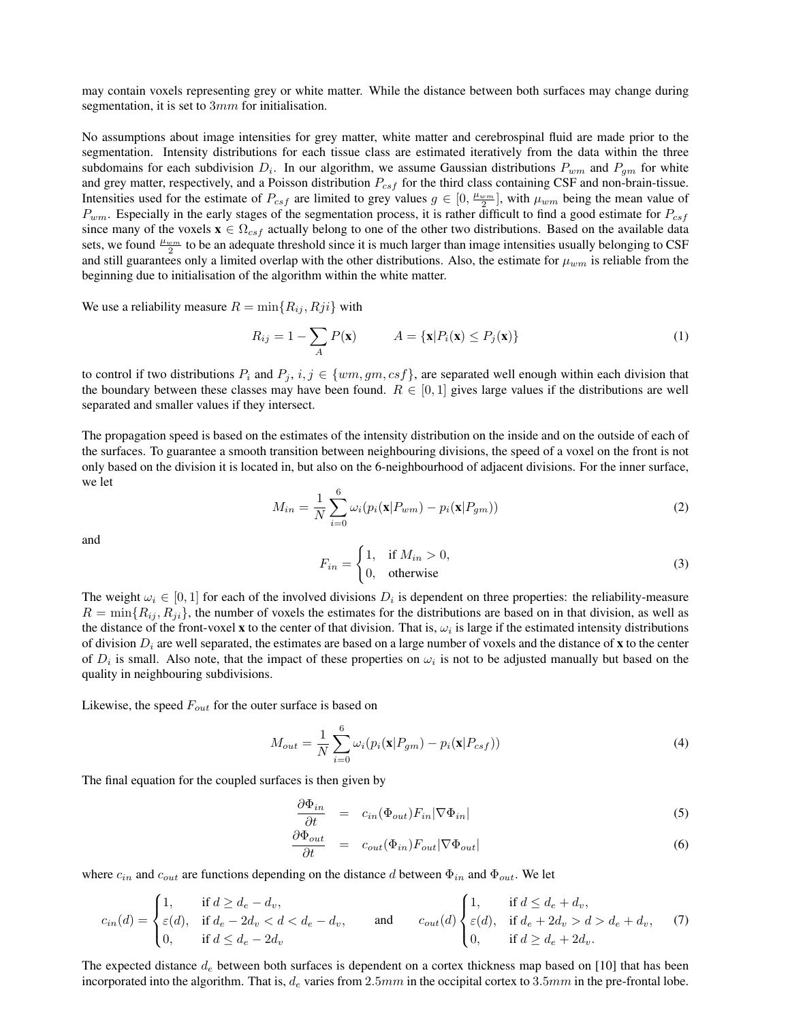may contain voxels representing grey or white matter. While the distance between both surfaces may change during segmentation, it is set to  $3mm$  for initialisation.

No assumptions about image intensities for grey matter, white matter and cerebrospinal fluid are made prior to the segmentation. Intensity distributions for each tissue class are estimated iteratively from the data within the three subdomains for each subdivision  $D_i$ . In our algorithm, we assume Gaussian distributions  $P_{wm}$  and  $P_{gm}$  for white and grey matter, respectively, and a Poisson distribution  $P_{csf}$  for the third class containing CSF and non-brain-tissue. Intensities used for the estimate of  $P_{csf}$  are limited to grey values  $g \in [0, \frac{\mu_{wm}}{2}]$ , with  $\mu_{wm}$  being the mean value of  $P_{wm}$ . Especially in the early stages of the segmentation process, it is rather difficult to find a good estimate for  $P_{csf}$ since many of the voxels  $\mathbf{x} \in \Omega_{csf}$  actually belong to one of the other two distributions. Based on the available data sets, we found  $\frac{\mu_{wm}}{2}$  to be an adequate threshold since it is much larger than image intensities usually belonging to CSF and still guarantees only a limited overlap with the other distributions. Also, the estimate for  $\mu_{wm}$  is reliable from the beginning due to initialisation of the algorithm within the white matter.

We use a reliability measure  $R = \min\{R_{ij}, Rji\}$  with

$$
R_{ij} = 1 - \sum_{A} P(\mathbf{x}) \qquad A = \{\mathbf{x} | P_i(\mathbf{x}) \le P_j(\mathbf{x})\}
$$
\n(1)

to control if two distributions  $P_i$  and  $P_j$ ,  $i, j \in \{wm, gm, csf\}$ , are separated well enough within each division that the boundary between these classes may have been found.  $R \in [0,1]$  gives large values if the distributions are well separated and smaller values if they intersect.

The propagation speed is based on the estimates of the intensity distribution on the inside and on the outside of each of the surfaces. To guarantee a smooth transition between neighbouring divisions, the speed of a voxel on the front is not only based on the division it is located in, but also on the 6-neighbourhood of adjacent divisions. For the inner surface, we let

$$
M_{in} = \frac{1}{N} \sum_{i=0}^{6} \omega_i (p_i(\mathbf{x}|P_{wm}) - p_i(\mathbf{x}|P_{gm}))
$$
\n(2)

and

$$
F_{in} = \begin{cases} 1, & \text{if } M_{in} > 0, \\ 0, & \text{otherwise} \end{cases}
$$
 (3)

The weight  $\omega_i \in [0,1]$  for each of the involved divisions  $D_i$  is dependent on three properties: the reliability-measure  $R = \min\{R_{ij}, R_{ji}\}\$ , the number of voxels the estimates for the distributions are based on in that division, as well as the distance of the front-voxel **x** to the center of that division. That is,  $\omega_i$  is large if the estimated intensity distributions of division  $D_i$  are well separated, the estimates are based on a large number of voxels and the distance of x to the center of  $D_i$  is small. Also note, that the impact of these properties on  $\omega_i$  is not to be adjusted manually but based on the quality in neighbouring subdivisions.

Likewise, the speed  $F_{out}$  for the outer surface is based on

$$
M_{out} = \frac{1}{N} \sum_{i=0}^{6} \omega_i (p_i(\mathbf{x}|P_{gm}) - p_i(\mathbf{x}|P_{csf}))
$$
\n(4)

The final equation for the coupled surfaces is then given by

$$
\frac{\partial \Phi_{in}}{\partial t} = c_{in}(\Phi_{out}) F_{in} |\nabla \Phi_{in}| \tag{5}
$$

$$
\frac{\partial \Phi_{out}}{\partial t} = c_{out}(\Phi_{in}) F_{out} |\nabla \Phi_{out}| \tag{6}
$$

where  $c_{in}$  and  $c_{out}$  are functions depending on the distance d between  $\Phi_{in}$  and  $\Phi_{out}$ . We let

$$
c_{in}(d) = \begin{cases} 1, & \text{if } d \ge d_e - d_v, \\ \varepsilon(d), & \text{if } d_e - 2d_v < d < d_e - d_v, \\ 0, & \text{if } d \le d_e - 2d_v \end{cases} \quad \text{and} \quad c_{out}(d) \begin{cases} 1, & \text{if } d \le d_e + d_v, \\ \varepsilon(d), & \text{if } d_e + 2d_v > d > d_e + d_v, \\ 0, & \text{if } d \ge d_e + 2d_v. \end{cases} \tag{7}
$$

The expected distance  $d_e$  between both surfaces is dependent on a cortex thickness map based on [10] that has been incorporated into the algorithm. That is,  $d_e$  varies from 2.5mm in the occipital cortex to 3.5mm in the pre-frontal lobe.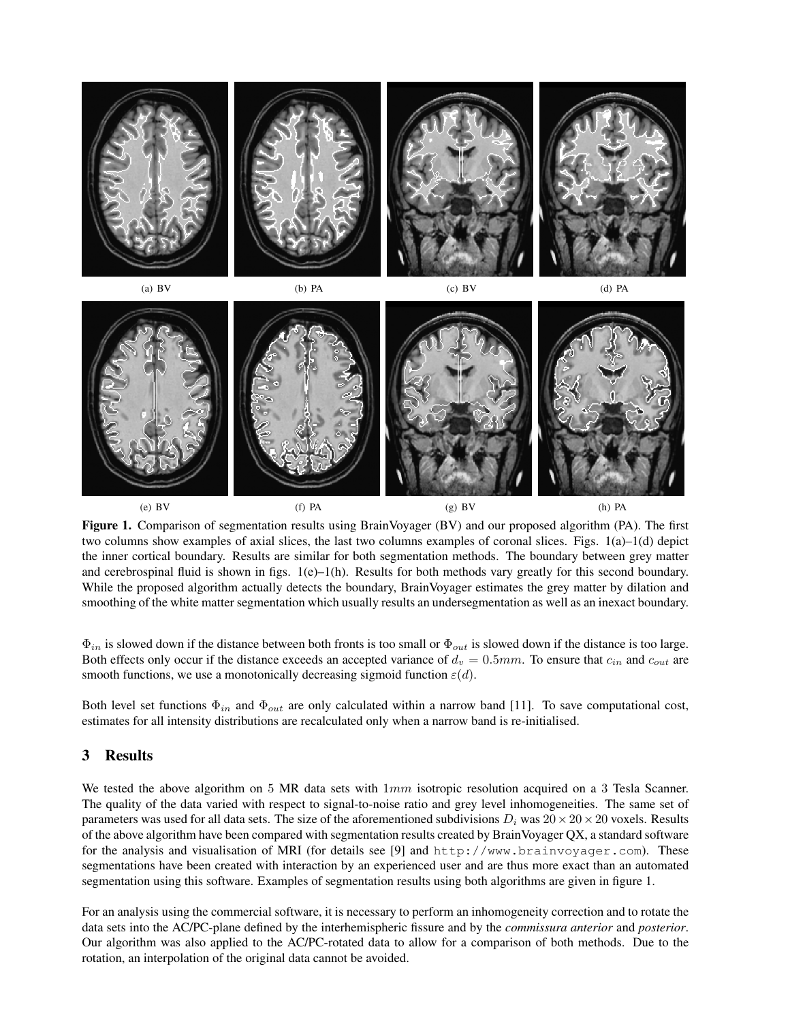

Figure 1. Comparison of segmentation results using BrainVoyager (BV) and our proposed algorithm (PA). The first two columns show examples of axial slices, the last two columns examples of coronal slices. Figs. 1(a)–1(d) depict the inner cortical boundary. Results are similar for both segmentation methods. The boundary between grey matter and cerebrospinal fluid is shown in figs.  $1(e)$ –1(h). Results for both methods vary greatly for this second boundary. While the proposed algorithm actually detects the boundary, BrainVoyager estimates the grey matter by dilation and smoothing of the white matter segmentation which usually results an undersegmentation as well as an inexact boundary.

 $\Phi_{in}$  is slowed down if the distance between both fronts is too small or  $\Phi_{out}$  is slowed down if the distance is too large. Both effects only occur if the distance exceeds an accepted variance of  $d_v = 0.5mm$ . To ensure that  $c_{in}$  and  $c_{out}$  are smooth functions, we use a monotonically decreasing sigmoid function  $\varepsilon(d)$ .

Both level set functions  $\Phi_{in}$  and  $\Phi_{out}$  are only calculated within a narrow band [11]. To save computational cost, estimates for all intensity distributions are recalculated only when a narrow band is re-initialised.

### 3 Results

We tested the above algorithm on 5 MR data sets with  $1mm$  isotropic resolution acquired on a 3 Tesla Scanner. The quality of the data varied with respect to signal-to-noise ratio and grey level inhomogeneities. The same set of parameters was used for all data sets. The size of the aforementioned subdivisions  $D_i$  was  $20\times 20\times 20$  voxels. Results of the above algorithm have been compared with segmentation results created by BrainVoyager QX, a standard software for the analysis and visualisation of MRI (for details see [9] and http://www.brainvoyager.com). These segmentations have been created with interaction by an experienced user and are thus more exact than an automated segmentation using this software. Examples of segmentation results using both algorithms are given in figure 1.

For an analysis using the commercial software, it is necessary to perform an inhomogeneity correction and to rotate the data sets into the AC/PC-plane defined by the interhemispheric fissure and by the *commissura anterior* and *posterior*. Our algorithm was also applied to the AC/PC-rotated data to allow for a comparison of both methods. Due to the rotation, an interpolation of the original data cannot be avoided.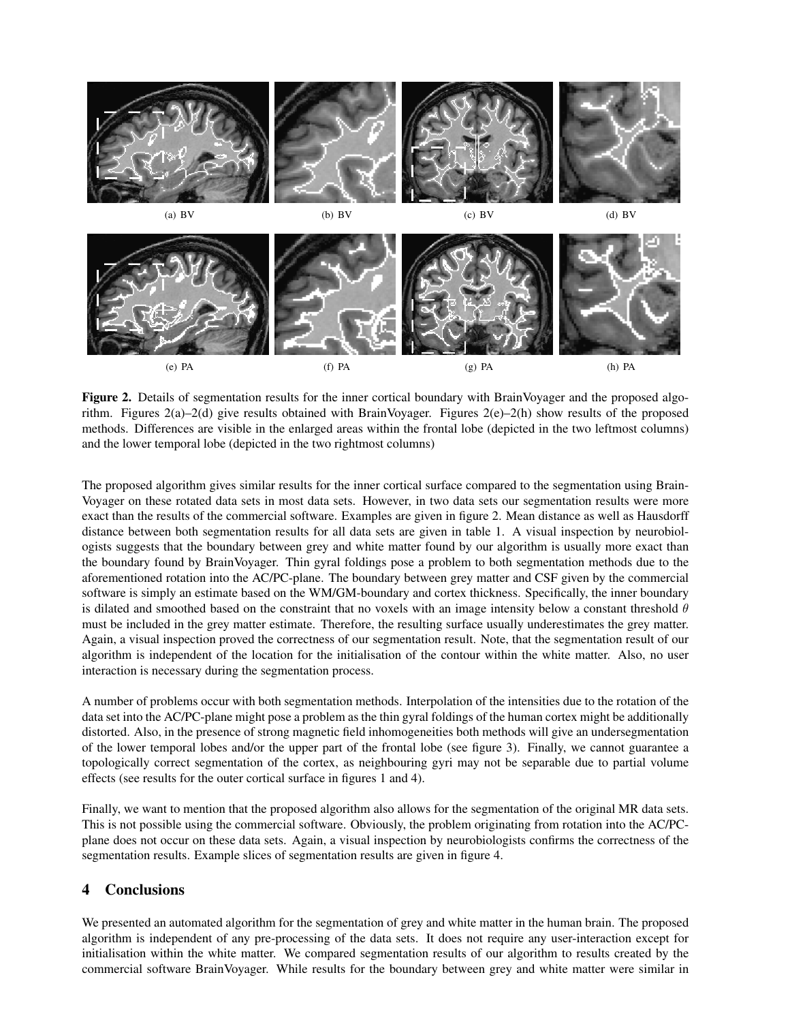

Figure 2. Details of segmentation results for the inner cortical boundary with BrainVoyager and the proposed algorithm. Figures 2(a)–2(d) give results obtained with BrainVoyager. Figures 2(e)–2(h) show results of the proposed methods. Differences are visible in the enlarged areas within the frontal lobe (depicted in the two leftmost columns) and the lower temporal lobe (depicted in the two rightmost columns)

The proposed algorithm gives similar results for the inner cortical surface compared to the segmentation using Brain-Voyager on these rotated data sets in most data sets. However, in two data sets our segmentation results were more exact than the results of the commercial software. Examples are given in figure 2. Mean distance as well as Hausdorff distance between both segmentation results for all data sets are given in table 1. A visual inspection by neurobiologists suggests that the boundary between grey and white matter found by our algorithm is usually more exact than the boundary found by BrainVoyager. Thin gyral foldings pose a problem to both segmentation methods due to the aforementioned rotation into the AC/PC-plane. The boundary between grey matter and CSF given by the commercial software is simply an estimate based on the WM/GM-boundary and cortex thickness. Specifically, the inner boundary is dilated and smoothed based on the constraint that no voxels with an image intensity below a constant threshold  $\theta$ must be included in the grey matter estimate. Therefore, the resulting surface usually underestimates the grey matter. Again, a visual inspection proved the correctness of our segmentation result. Note, that the segmentation result of our algorithm is independent of the location for the initialisation of the contour within the white matter. Also, no user interaction is necessary during the segmentation process.

A number of problems occur with both segmentation methods. Interpolation of the intensities due to the rotation of the data set into the AC/PC-plane might pose a problem as the thin gyral foldings of the human cortex might be additionally distorted. Also, in the presence of strong magnetic field inhomogeneities both methods will give an undersegmentation of the lower temporal lobes and/or the upper part of the frontal lobe (see figure 3). Finally, we cannot guarantee a topologically correct segmentation of the cortex, as neighbouring gyri may not be separable due to partial volume effects (see results for the outer cortical surface in figures 1 and 4).

Finally, we want to mention that the proposed algorithm also allows for the segmentation of the original MR data sets. This is not possible using the commercial software. Obviously, the problem originating from rotation into the AC/PCplane does not occur on these data sets. Again, a visual inspection by neurobiologists confirms the correctness of the segmentation results. Example slices of segmentation results are given in figure 4.

#### 4 Conclusions

We presented an automated algorithm for the segmentation of grey and white matter in the human brain. The proposed algorithm is independent of any pre-processing of the data sets. It does not require any user-interaction except for initialisation within the white matter. We compared segmentation results of our algorithm to results created by the commercial software BrainVoyager. While results for the boundary between grey and white matter were similar in